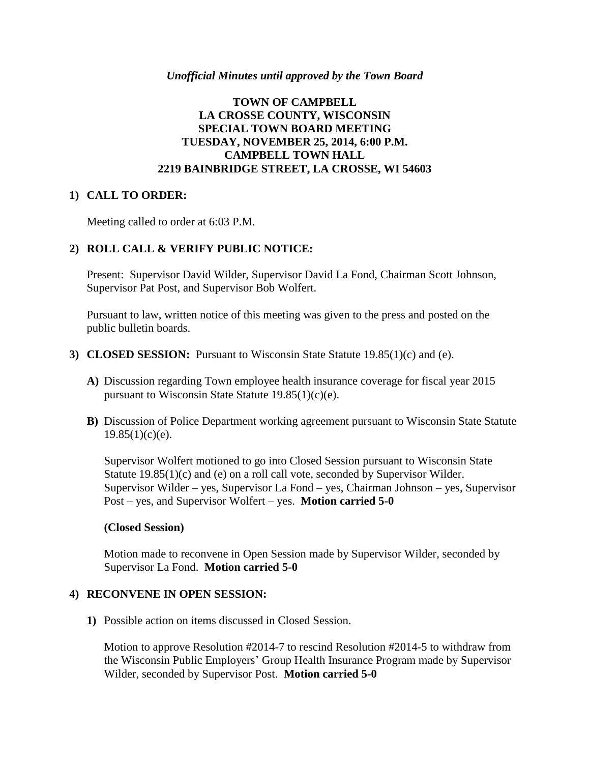#### *Unofficial Minutes until approved by the Town Board*

## **TOWN OF CAMPBELL LA CROSSE COUNTY, WISCONSIN SPECIAL TOWN BOARD MEETING TUESDAY, NOVEMBER 25, 2014, 6:00 P.M. CAMPBELL TOWN HALL 2219 BAINBRIDGE STREET, LA CROSSE, WI 54603**

#### **1) CALL TO ORDER:**

Meeting called to order at 6:03 P.M.

### **2) ROLL CALL & VERIFY PUBLIC NOTICE:**

Present: Supervisor David Wilder, Supervisor David La Fond, Chairman Scott Johnson, Supervisor Pat Post, and Supervisor Bob Wolfert.

Pursuant to law, written notice of this meeting was given to the press and posted on the public bulletin boards.

- **3) CLOSED SESSION:** Pursuant to Wisconsin State Statute 19.85(1)(c) and (e).
	- **A)** Discussion regarding Town employee health insurance coverage for fiscal year 2015 pursuant to Wisconsin State Statute  $19.85(1)(c)(e)$ .
	- **B)** Discussion of Police Department working agreement pursuant to Wisconsin State Statute  $19.85(1)(c)(e)$ .

Supervisor Wolfert motioned to go into Closed Session pursuant to Wisconsin State Statute 19.85(1)(c) and (e) on a roll call vote, seconded by Supervisor Wilder. Supervisor Wilder – yes, Supervisor La Fond – yes, Chairman Johnson – yes, Supervisor Post – yes, and Supervisor Wolfert – yes. **Motion carried 5-0**

#### **(Closed Session)**

Motion made to reconvene in Open Session made by Supervisor Wilder, seconded by Supervisor La Fond. **Motion carried 5-0**

## **4) RECONVENE IN OPEN SESSION:**

**1)** Possible action on items discussed in Closed Session.

Motion to approve Resolution #2014-7 to rescind Resolution #2014-5 to withdraw from the Wisconsin Public Employers' Group Health Insurance Program made by Supervisor Wilder, seconded by Supervisor Post. **Motion carried 5-0**